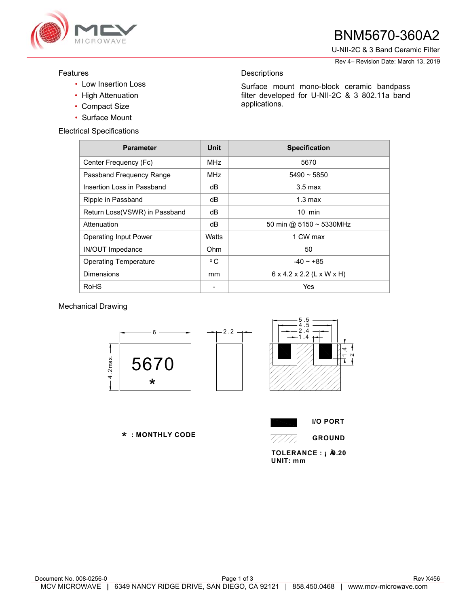

## BNM5670-360A2

U-NII-2C & 3 Band Ceramic Filter

Rev 4– Revision Date: March 13, 2019

#### Features

- Low Insertion Loss
- High Attenuation
- Compact Size
- Surface Mount

Electrical Specifications

| <b>Parameter</b>              | Unit          | <b>Specification</b>                  |
|-------------------------------|---------------|---------------------------------------|
| Center Frequency (Fc)         | <b>MHz</b>    | 5670                                  |
| Passband Frequency Range      | <b>MHz</b>    | $5490 - 5850$                         |
| Insertion Loss in Passband    | dВ            | $3.5 \text{ max}$                     |
| Ripple in Passband            | dB            | $1.3 \text{ max}$                     |
| Return Loss(VSWR) in Passband | dВ            | $10$ min                              |
| Attenuation                   | dB            | 50 min @ $5150 \sim 5330$ MHz         |
| <b>Operating Input Power</b>  | Watts         | 1 CW max                              |
| <b>IN/OUT Impedance</b>       | Ohm           | 50                                    |
| <b>Operating Temperature</b>  | °C            | $-40 - +85$                           |
| Dimensions                    | <sub>mm</sub> | $6 \times 4.2 \times 2.2$ (L x W x H) |
| RoHS                          |               | Yes                                   |

**Descriptions** 

applications.

Surface mount mono-block ceramic bandpass filter developed for U-NII-2C & 3 802.11a band

### Mechanical Drawing



 **: MONTHLY CODE** \*



7777.

TOLERANCE : **i**  $\hat{A}$ 0.20 **UNIT: mm**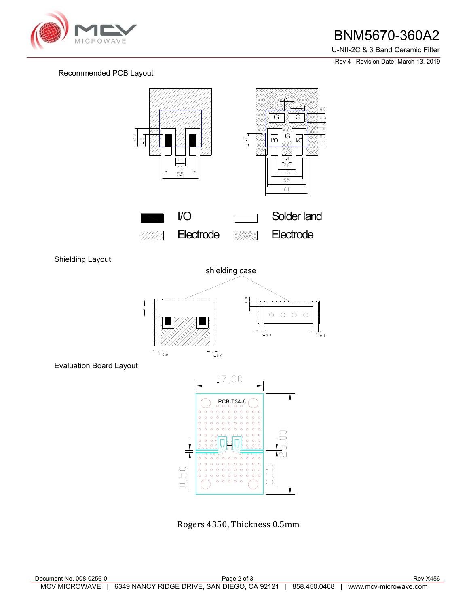

### BNM5670-360A2

U-NII-2C & 3 Band Ceramic Filter

Rev 4– Revision Date: March 13, 2019

### Recommended PCB Layout



Shielding Layout



Evaluation Board Layout



Rogers 4350, Thickness 0.5mm